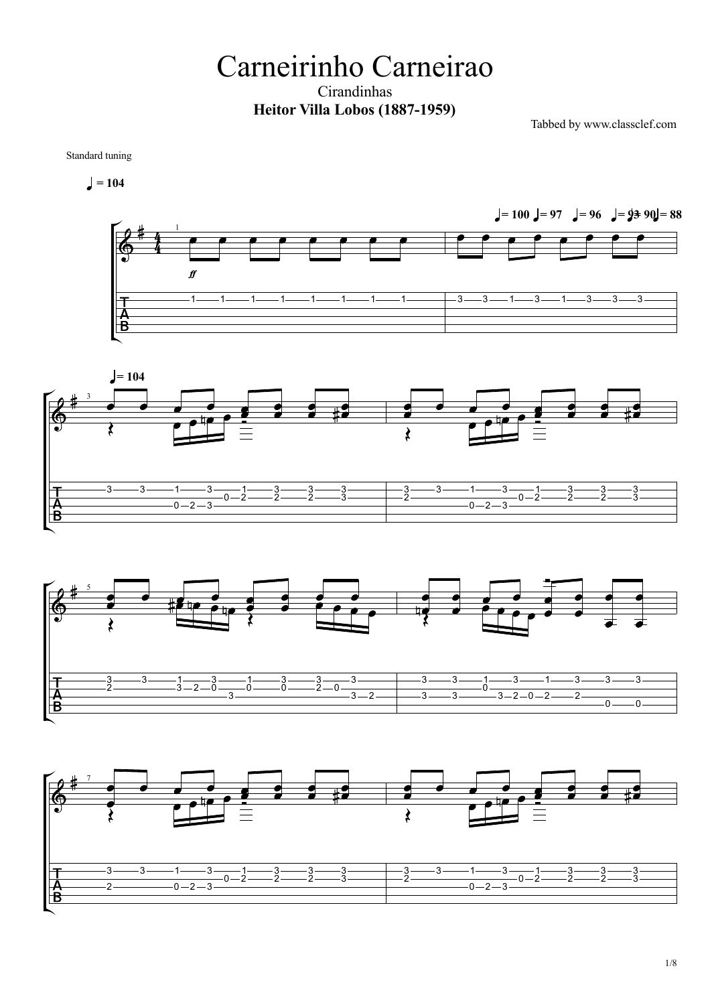## Carneirinho Carneirao Cirandinhas **Heitor Villa Lobos (1887-1959)**

Tabbed by www.classclef.com

Standard tuning

 $= 104$ 







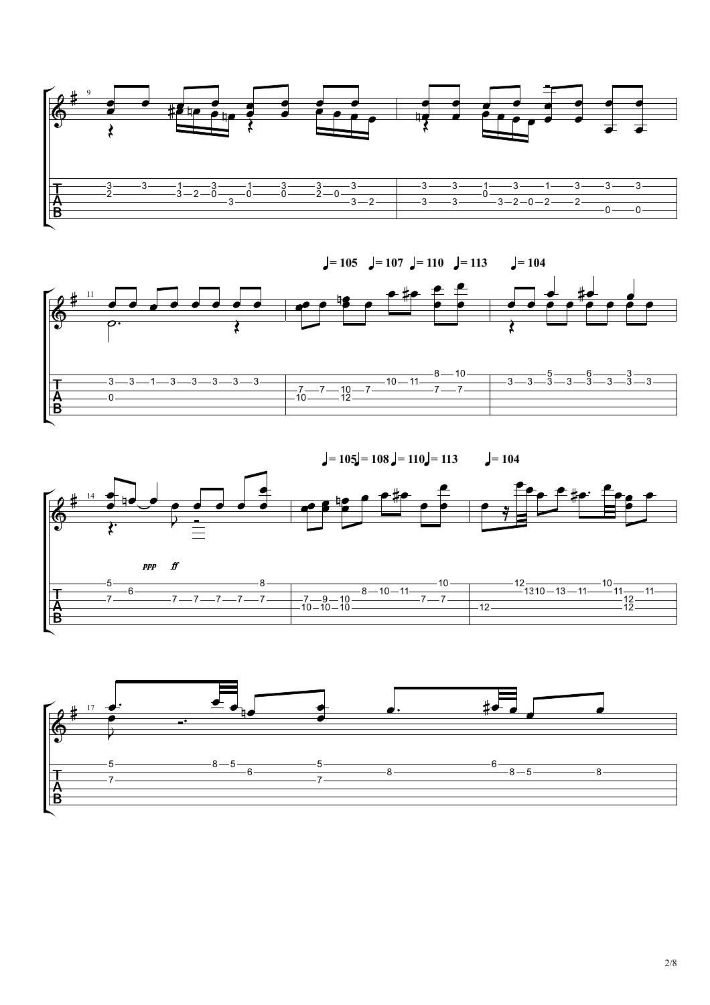





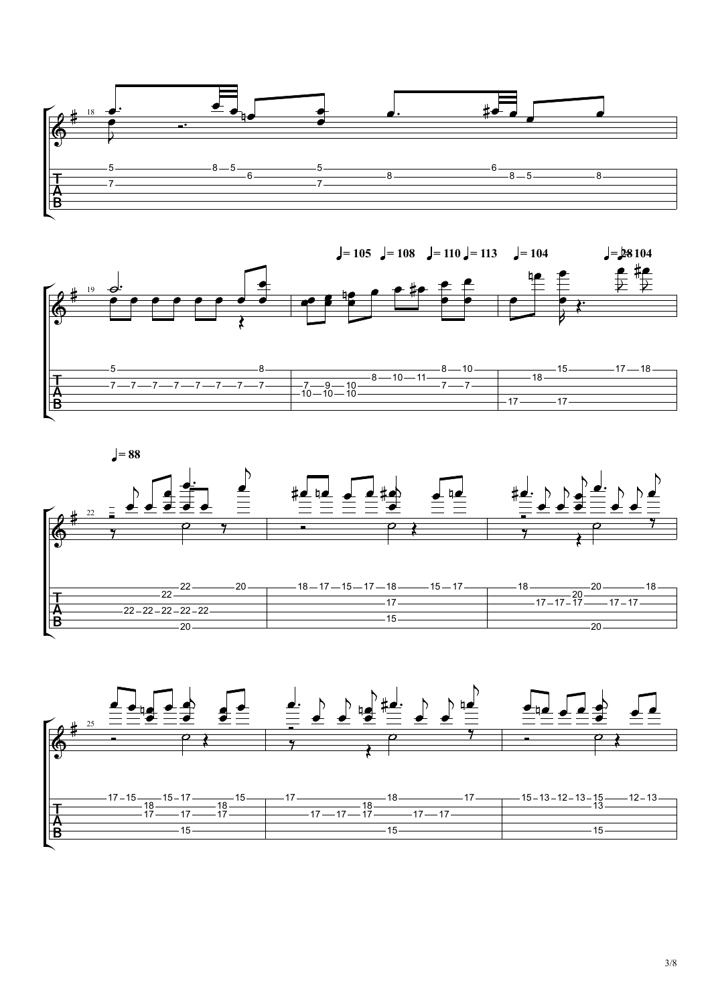





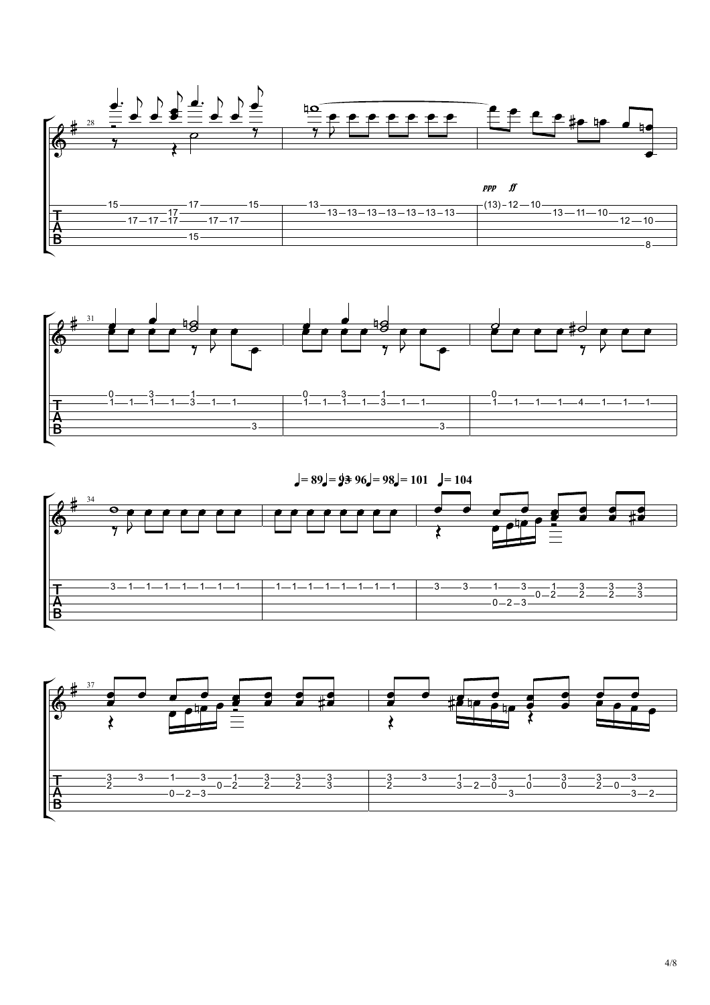





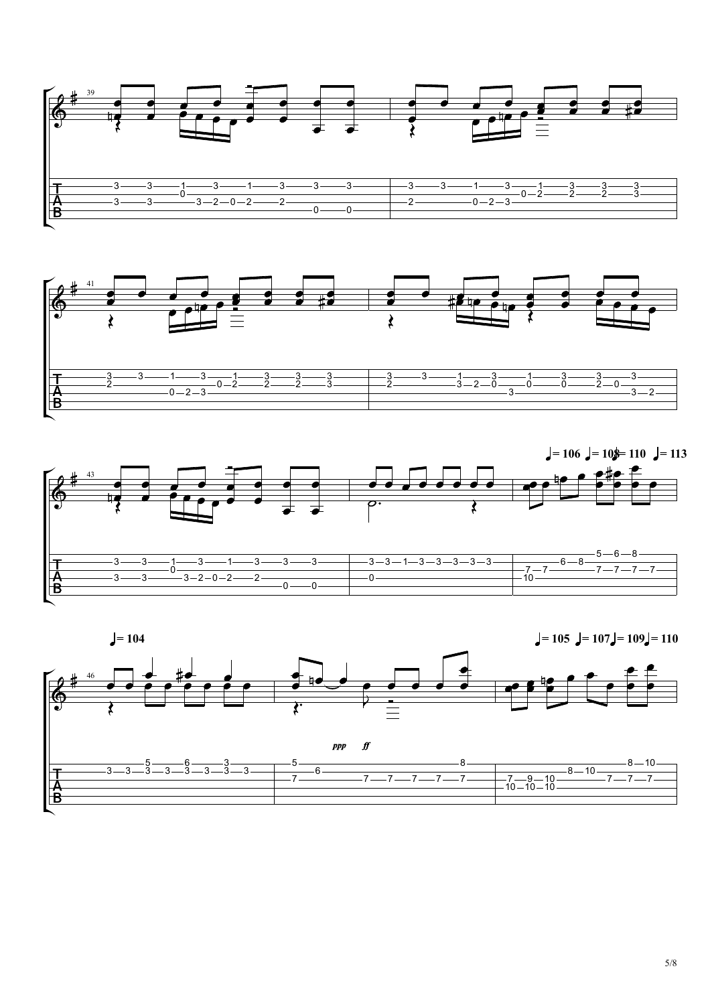





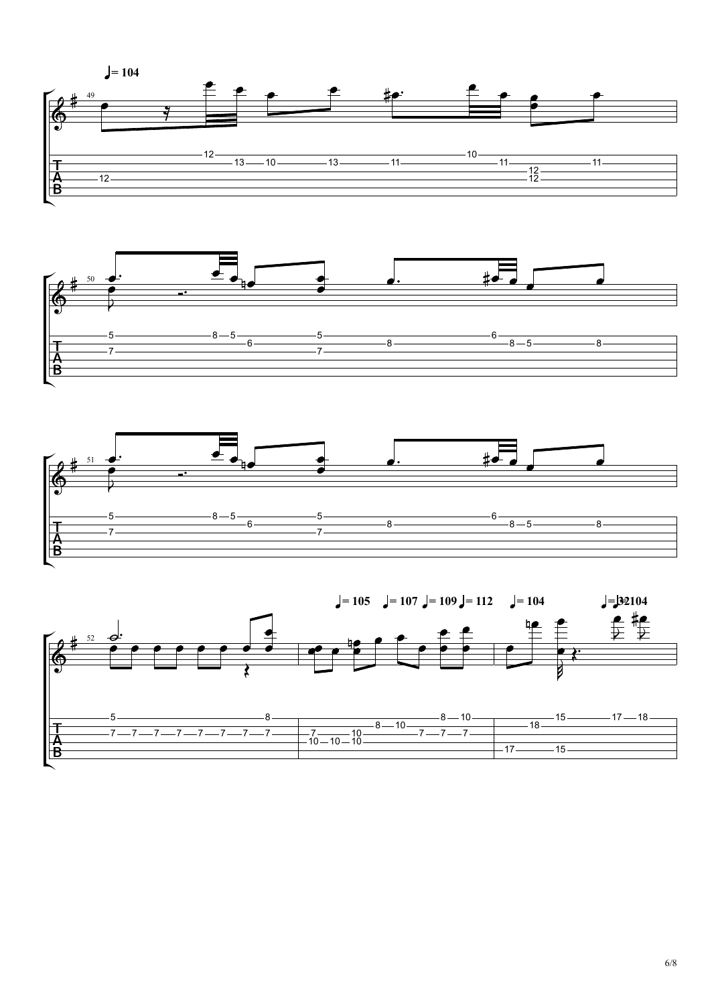





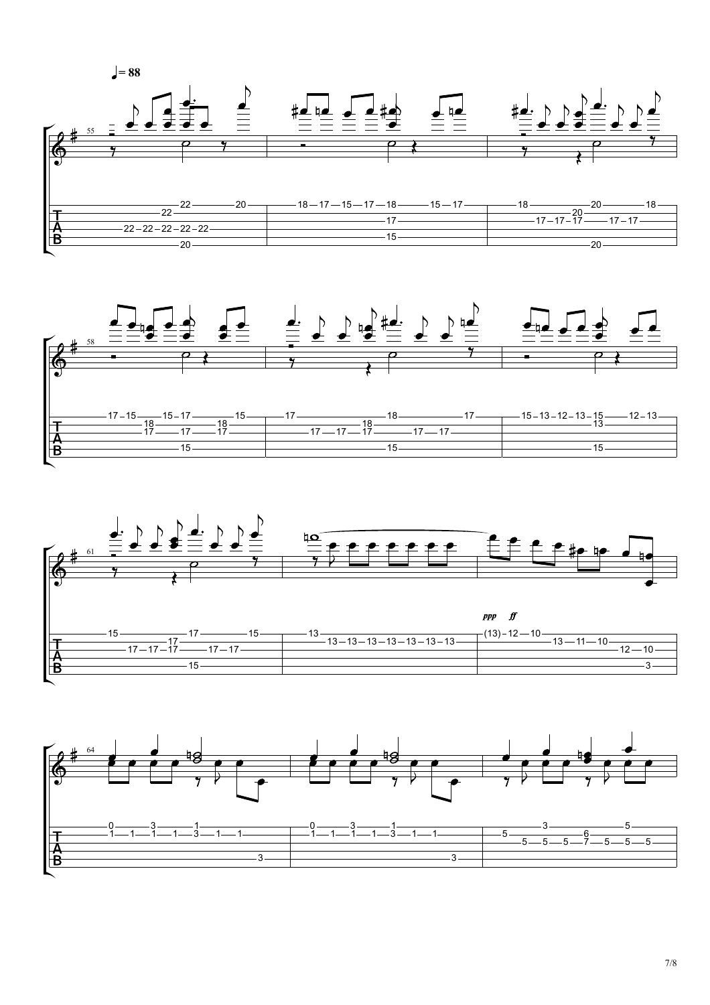$J=88$ <br> $\frac{1}{2}$   $\frac{1}{2}$   $\frac{1}{2}$   $\frac{1}{2}$   $\frac{1}{2}$   $\frac{1}{2}$   $\frac{1}{2}$   $\frac{1}{2}$   $\frac{1}{2}$   $\frac{1}{2}$   $\frac{1}{2}$   $\frac{1}{2}$   $\frac{1}{2}$   $\frac{1}{2}$   $\frac{1}{2}$   $\frac{1}{2}$   $\frac{1}{2}$   $\frac{1}{2}$   $\frac{1}{2}$   $\frac{1}{2}$   $\frac{1}{2}$   $\frac{$  $\begin{picture}(120,115) \put(0,0){\line(1,0){155}} \put(15,0){\line(1,0){155}} \put(15,0){\line(1,0){155}} \put(15,0){\line(1,0){155}} \put(15,0){\line(1,0){155}} \put(15,0){\line(1,0){155}} \put(15,0){\line(1,0){155}} \put(15,0){\line(1,0){155}} \put(15,0){\line(1,0){155}} \put(15,0){\line(1,0){155}} \put(15,0){\line(1,0){155$  $\stackrel{+}{=}$  $18 - 17 - 15 - 17 - 18$  $\frac{22}{22}$  22 20 17 18 20  $18$   $18 \rightarrow$  17 17 17  $\frac{1}{17 - 17 - 17}$  $17 \longrightarrow$  22 22 22 22 20 ————————————————————